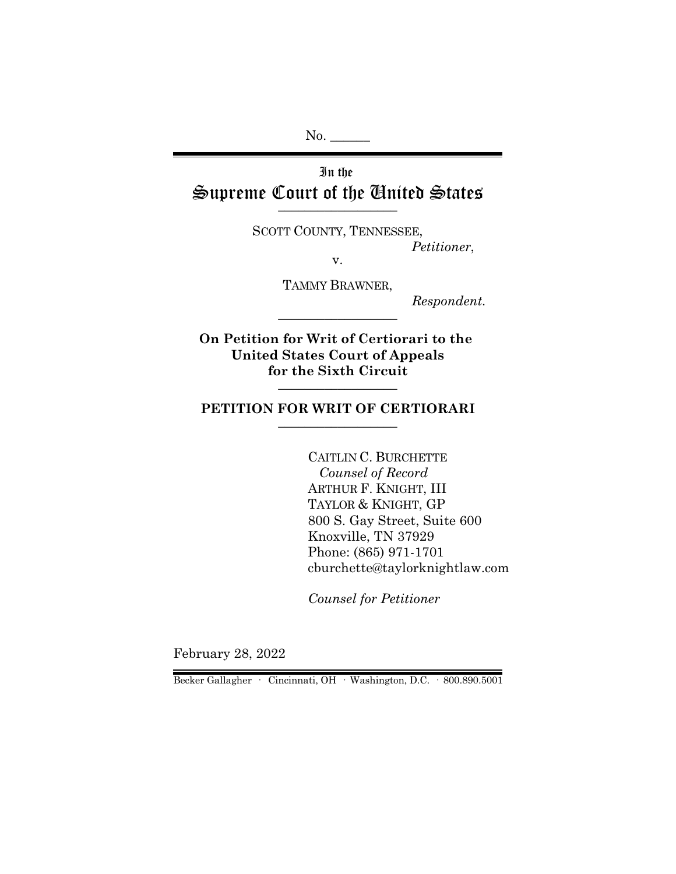No.

# In the Supreme Court of the United States  $\overline{\phantom{a}}$  , where  $\overline{\phantom{a}}$

SCOTT COUNTY, TENNESSEE, *Petitioner*,

v.

TAMMY BRAWNER,

\_\_\_\_\_\_\_\_\_\_\_\_\_\_\_\_\_\_

*Respondent.*

**On Petition for Writ of Certiorari to the United States Court of Appeals for the Sixth Circuit** \_\_\_\_\_\_\_\_\_\_\_\_\_\_\_\_\_\_

#### **PETITION FOR WRIT OF CERTIORARI** \_\_\_\_\_\_\_\_\_\_\_\_\_\_\_\_\_\_

CAITLIN C. BURCHETTE  *Counsel of Record* ARTHUR F. KNIGHT, III TAYLOR & KNIGHT, GP 800 S. Gay Street, Suite 600 Knoxville, TN 37929 Phone: (865) 971-1701 cburchette@taylorknightlaw.com

*Counsel for Petitioner*

February 28, 2022

Becker Gallagher · Cincinnati, OH · Washington, D.C. · 800.890.5001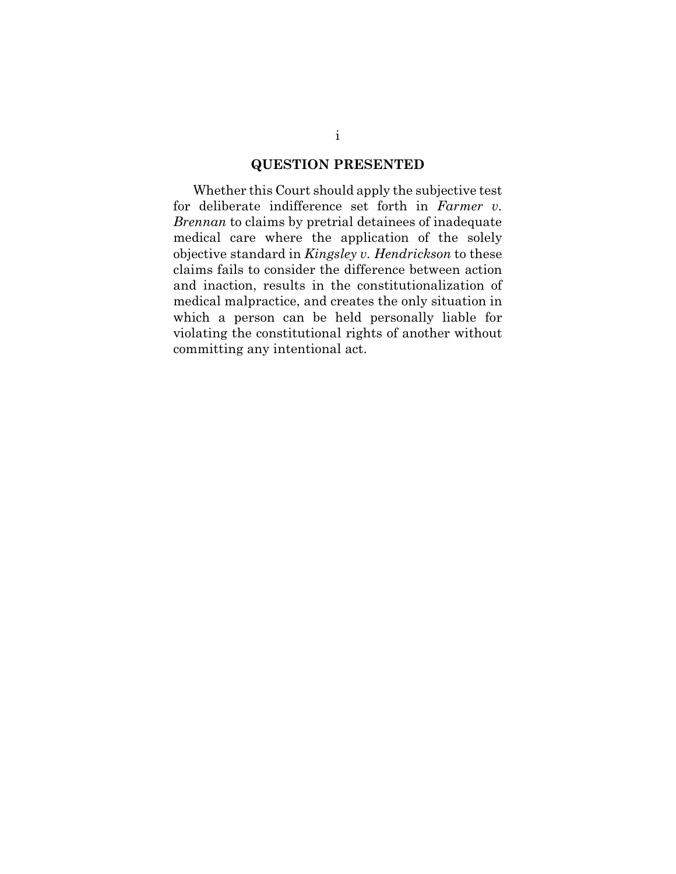### **QUESTION PRESENTED**

Whether this Court should apply the subjective test for deliberate indifference set forth in *Farmer v. Brennan* to claims by pretrial detainees of inadequate medical care where the application of the solely objective standard in *Kingsley v. Hendrickson* to these claims fails to consider the difference between action and inaction, results in the constitutionalization of medical malpractice, and creates the only situation in which a person can be held personally liable for violating the constitutional rights of another without committing any intentional act.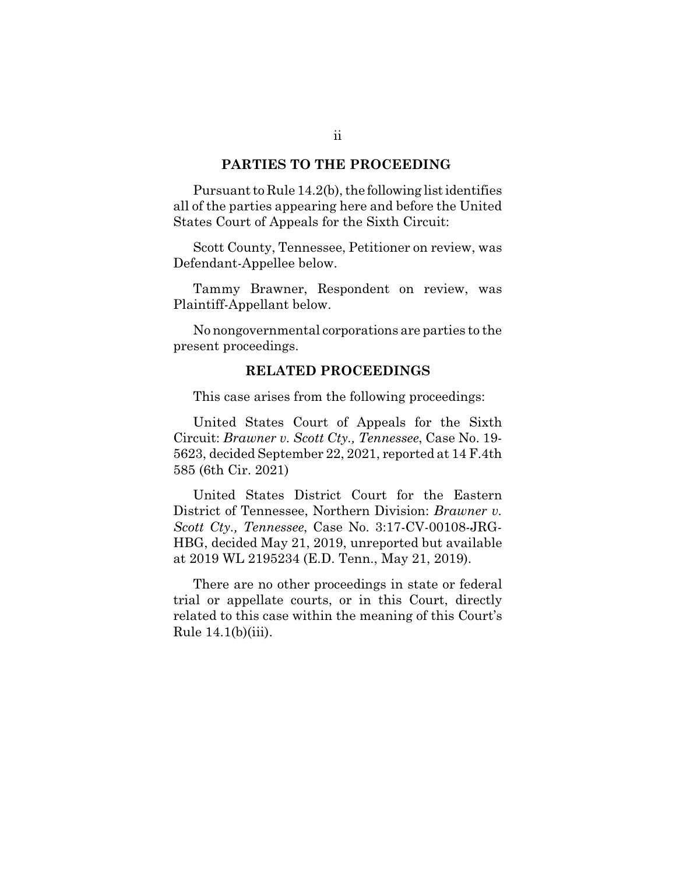#### **PARTIES TO THE PROCEEDING**

Pursuant to Rule 14.2(b), the following list identifies all of the parties appearing here and before the United States Court of Appeals for the Sixth Circuit:

Scott County, Tennessee, Petitioner on review, was Defendant-Appellee below.

Tammy Brawner, Respondent on review, was Plaintiff-Appellant below.

No nongovernmental corporations are parties to the present proceedings.

#### **RELATED PROCEEDINGS**

This case arises from the following proceedings:

United States Court of Appeals for the Sixth Circuit: *Brawner v. Scott Cty., Tennessee*, Case No. 19- 5623, decided September 22, 2021, reported at 14 F.4th 585 (6th Cir. 2021)

United States District Court for the Eastern District of Tennessee, Northern Division: *Brawner v. Scott Cty., Tennessee*, Case No. 3:17-CV-00108-JRG-HBG, decided May 21, 2019, unreported but available at 2019 WL 2195234 (E.D. Tenn., May 21, 2019).

There are no other proceedings in state or federal trial or appellate courts, or in this Court, directly related to this case within the meaning of this Court's Rule  $14.1(b)(iii)$ .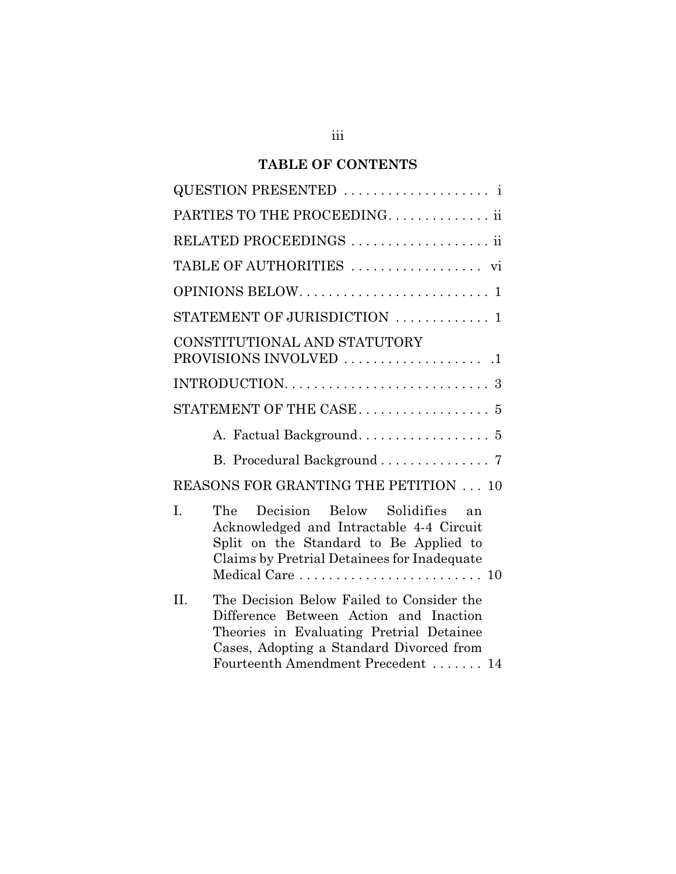# **TABLE OF CONTENTS**

| QUESTION PRESENTED  i                                                                                                                                                                                                    |  |  |  |  |
|--------------------------------------------------------------------------------------------------------------------------------------------------------------------------------------------------------------------------|--|--|--|--|
| PARTIES TO THE PROCEEDING. ii                                                                                                                                                                                            |  |  |  |  |
| RELATED PROCEEDINGS  ii                                                                                                                                                                                                  |  |  |  |  |
|                                                                                                                                                                                                                          |  |  |  |  |
|                                                                                                                                                                                                                          |  |  |  |  |
| STATEMENT OF JURISDICTION  1                                                                                                                                                                                             |  |  |  |  |
| CONSTITUTIONAL AND STATUTORY                                                                                                                                                                                             |  |  |  |  |
|                                                                                                                                                                                                                          |  |  |  |  |
| STATEMENT OF THE CASE $\dots\dots\dots\dots\dots\dots$ 5                                                                                                                                                                 |  |  |  |  |
|                                                                                                                                                                                                                          |  |  |  |  |
| B. Procedural Background  7                                                                                                                                                                                              |  |  |  |  |
| REASONS FOR GRANTING THE PETITION  10                                                                                                                                                                                    |  |  |  |  |
| I.<br>The Decision Below Solidifies an<br>Acknowledged and Intractable 4-4 Circuit<br>Split on the Standard to Be Applied to<br>Claims by Pretrial Detainees for Inadequate<br>Medical Care  10                          |  |  |  |  |
| II.<br>The Decision Below Failed to Consider the<br>Difference Between Action and Inaction<br>Theories in Evaluating Pretrial Detainee<br>Cases, Adopting a Standard Divorced from<br>Fourteenth Amendment Precedent  14 |  |  |  |  |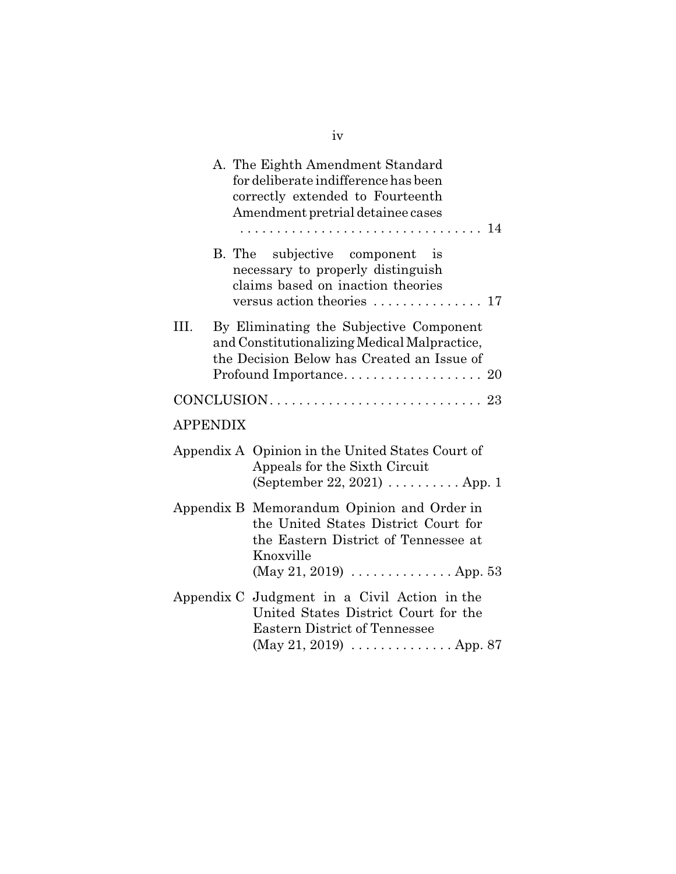|                 |  | A. The Eighth Amendment Standard<br>for deliberate indifference has been<br>correctly extended to Fourteenth<br>Amendment pretrial detainee cases                                                 |  |  |
|-----------------|--|---------------------------------------------------------------------------------------------------------------------------------------------------------------------------------------------------|--|--|
|                 |  | B. The subjective component is<br>necessary to properly distinguish<br>claims based on inaction theories<br>versus action theories  17                                                            |  |  |
| III.            |  | By Eliminating the Subjective Component<br>and Constitutionalizing Medical Malpractice,<br>the Decision Below has Created an Issue of                                                             |  |  |
|                 |  |                                                                                                                                                                                                   |  |  |
| <b>APPENDIX</b> |  |                                                                                                                                                                                                   |  |  |
|                 |  | Appendix A Opinion in the United States Court of<br>Appeals for the Sixth Circuit<br>(September 22, 2021) $\ldots \ldots \ldots$ App. 1                                                           |  |  |
|                 |  | Appendix B Memorandum Opinion and Order in<br>the United States District Court for<br>the Eastern District of Tennessee at<br>Knoxville<br>(May 21, 2019) $\ldots \ldots \ldots \ldots$ . App. 53 |  |  |
|                 |  | Appendix C Judgment in a Civil Action in the<br>United States District Court for the<br><b>Eastern District of Tennessee</b><br>$(May 21, 2019) \ldots \ldots \ldots \ldots \ldots$ App. 87       |  |  |

iv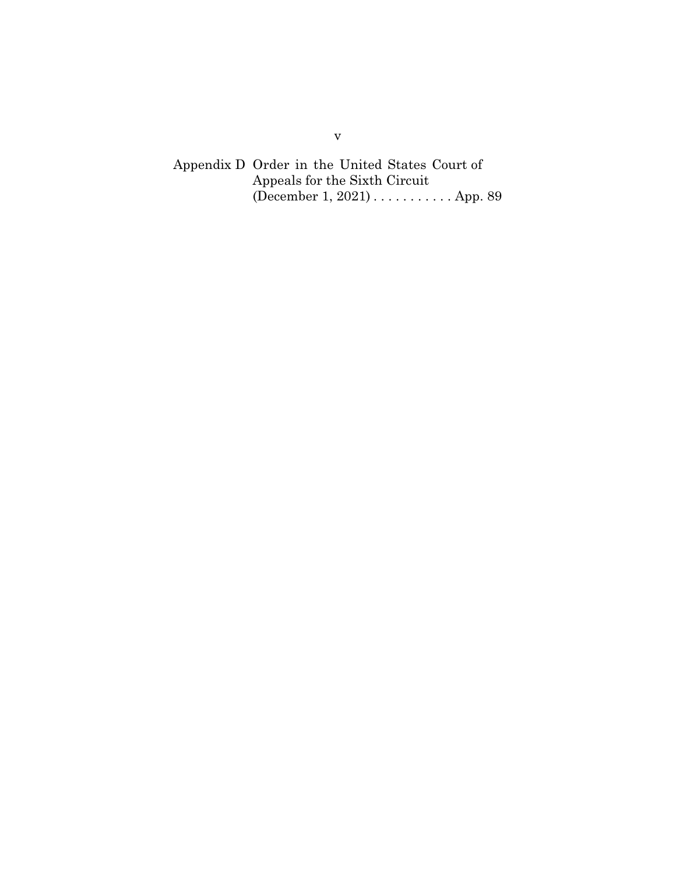Appendix D Order in the United States Court of Appeals for the Sixth Circuit (December 1, 2021) . . . . . . . . . . . App. 89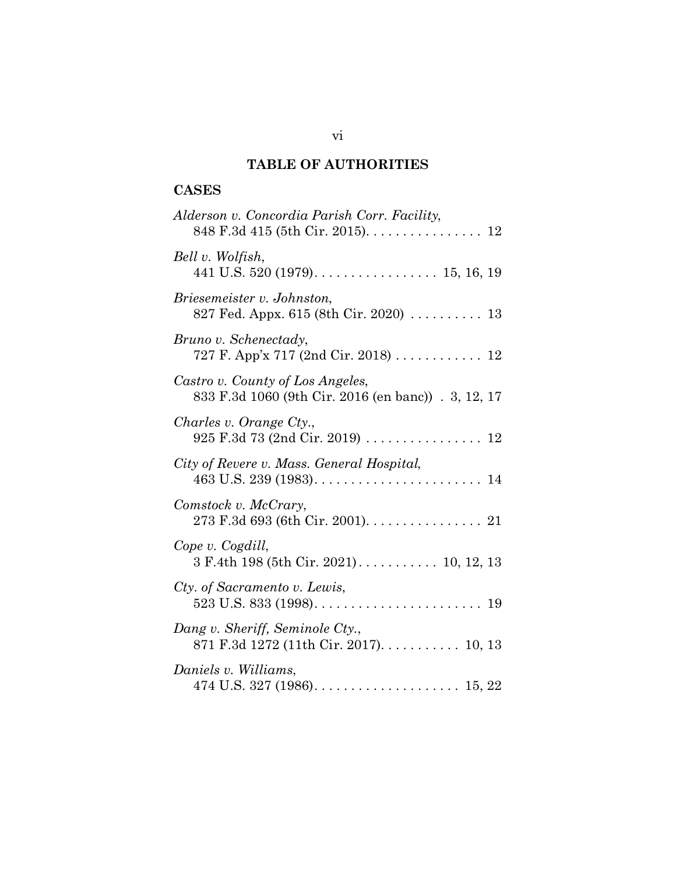# **TABLE OF AUTHORITIES**

# **CASES**

| Alderson v. Concordia Parish Corr. Facility,                                               |
|--------------------------------------------------------------------------------------------|
| Bell v. Wolfish,                                                                           |
| Briesemeister v. Johnston,<br>827 Fed. Appx. 615 (8th Cir. 2020) $\ldots \ldots \ldots$ 13 |
| Bruno v. Schenectady,<br>727 F. App'x 717 (2nd Cir. 2018) 12                               |
| Castro v. County of Los Angeles,<br>833 F.3d 1060 (9th Cir. 2016 (en banc)) . 3, 12, 17    |
| Charles v. Orange Cty.,<br>925 F.3d 73 (2nd Cir. 2019) 12                                  |
| City of Revere v. Mass. General Hospital,                                                  |
| Comstock v. McCrary,<br>273 F.3d 693 (6th Cir. 2001). 21                                   |
| Cope v. Cogdill,                                                                           |
| Cty. of Sacramento v. Lewis,                                                               |
| Dang v. Sheriff, Seminole Cty.,<br>871 F.3d 1272 (11th Cir. 2017). 10, 13                  |
| Daniels v. Williams,                                                                       |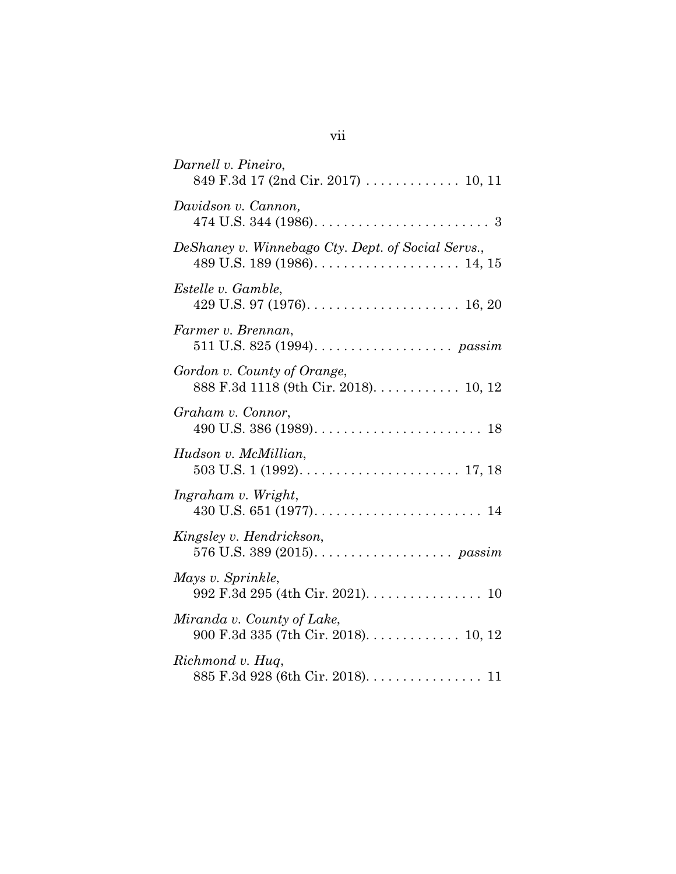| Darnell v. Pineiro,<br>849 F.3d 17 (2nd Cir. 2017)  10, 11           |
|----------------------------------------------------------------------|
| Davidson v. Cannon,                                                  |
| DeShaney v. Winnebago Cty. Dept. of Social Servs.,                   |
| Estelle v. Gamble,                                                   |
| Farmer v. Brennan,                                                   |
| Gordon v. County of Orange,<br>888 F.3d 1118 (9th Cir. 2018). 10, 12 |
| Graham v. Connor,                                                    |
| Hudson v. McMillian,                                                 |
| Ingraham v. Wright,                                                  |
| Kingsley v. Hendrickson,                                             |
| Mays v. Sprinkle,<br>992 F.3d 295 (4th Cir. 2021). 10                |
| Miranda v. County of Lake,<br>900 F.3d 335 (7th Cir. 2018). 10, 12   |
| Richmond v. Hug,<br>885 F.3d 928 (6th Cir. 2018). 11                 |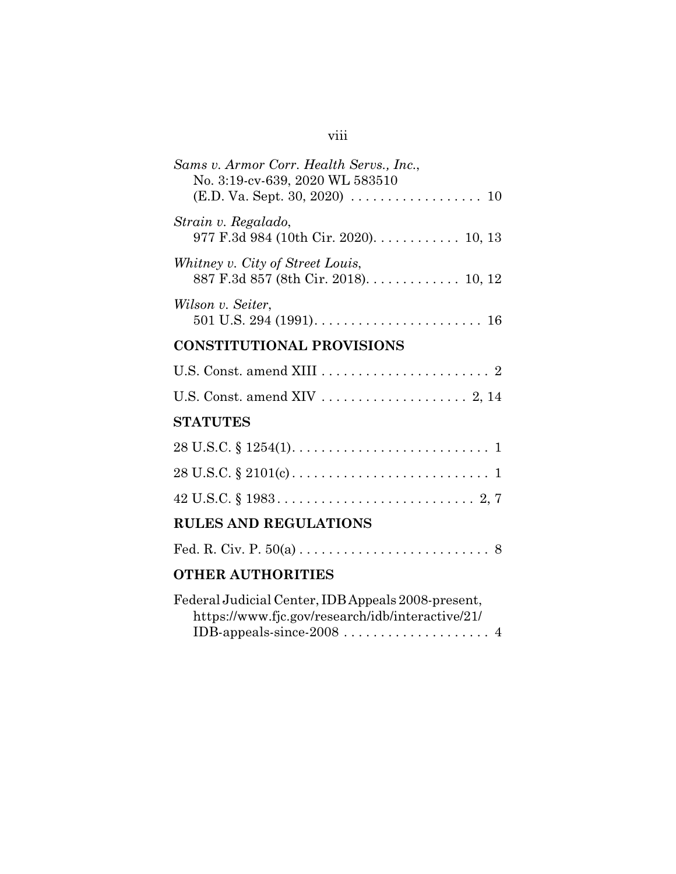| Sams v. Armor Corr. Health Servs., Inc.,<br>No. 3:19-cv-639, 2020 WL 583510                            |
|--------------------------------------------------------------------------------------------------------|
|                                                                                                        |
| Strain v. Regalado,<br>977 F.3d 984 (10th Cir. 2020). 10, 13                                           |
| Whitney v. City of Street Louis,<br>887 F.3d 857 (8th Cir. 2018). 10, 12                               |
| Wilson v. Seiter,                                                                                      |
| <b>CONSTITUTIONAL PROVISIONS</b>                                                                       |
|                                                                                                        |
|                                                                                                        |
| <b>STATUTES</b>                                                                                        |
|                                                                                                        |
| $28 \text{ U.S.C.} \S 2101(c) \ldots \ldots \ldots \ldots \ldots \ldots \ldots \ldots \ldots 1$        |
|                                                                                                        |
| <b>RULES AND REGULATIONS</b>                                                                           |
|                                                                                                        |
| <b>OTHER AUTHORITIES</b>                                                                               |
| Federal Judicial Center, IDB Appeals 2008-present,<br>https://www.fjc.gov/research/idb/interactive/21/ |

viii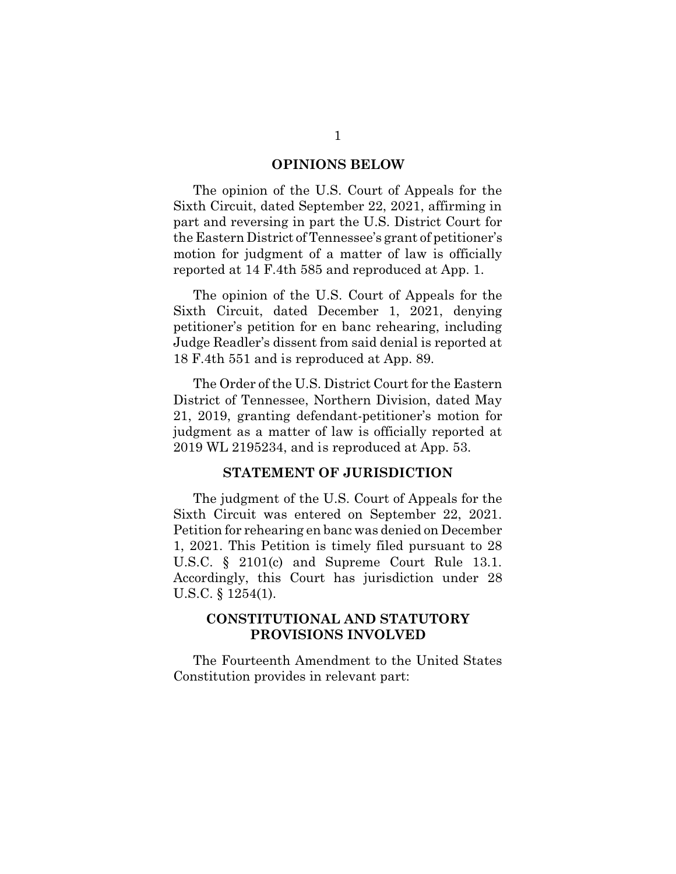#### **OPINIONS BELOW**

The opinion of the U.S. Court of Appeals for the Sixth Circuit, dated September 22, 2021, affirming in part and reversing in part the U.S. District Court for the Eastern District of Tennessee's grant of petitioner's motion for judgment of a matter of law is officially reported at 14 F.4th 585 and reproduced at App. 1.

The opinion of the U.S. Court of Appeals for the Sixth Circuit, dated December 1, 2021, denying petitioner's petition for en banc rehearing, including Judge Readler's dissent from said denial is reported at 18 F.4th 551 and is reproduced at App. 89.

The Order of the U.S. District Court for the Eastern District of Tennessee, Northern Division, dated May 21, 2019, granting defendant-petitioner's motion for judgment as a matter of law is officially reported at 2019 WL 2195234, and is reproduced at App. 53.

### **STATEMENT OF JURISDICTION**

The judgment of the U.S. Court of Appeals for the Sixth Circuit was entered on September 22, 2021. Petition for rehearing en banc was denied on December 1, 2021. This Petition is timely filed pursuant to 28 U.S.C. § 2101(c) and Supreme Court Rule 13.1. Accordingly, this Court has jurisdiction under 28 U.S.C. § 1254(1).

### **CONSTITUTIONAL AND STATUTORY PROVISIONS INVOLVED**

The Fourteenth Amendment to the United States Constitution provides in relevant part: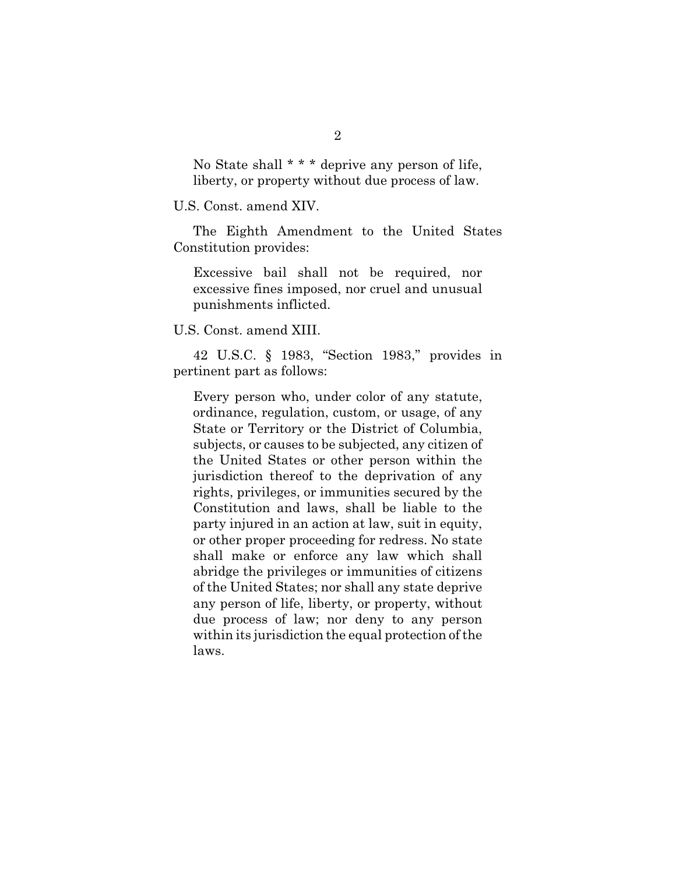No State shall \* \* \* deprive any person of life, liberty, or property without due process of law.

U.S. Const. amend XIV.

The Eighth Amendment to the United States Constitution provides:

Excessive bail shall not be required, nor excessive fines imposed, nor cruel and unusual punishments inflicted.

U.S. Const. amend XIII.

42 U.S.C. § 1983, "Section 1983," provides in pertinent part as follows:

Every person who, under color of any statute, ordinance, regulation, custom, or usage, of any State or Territory or the District of Columbia, subjects, or causes to be subjected, any citizen of the United States or other person within the jurisdiction thereof to the deprivation of any rights, privileges, or immunities secured by the Constitution and laws, shall be liable to the party injured in an action at law, suit in equity, or other proper proceeding for redress. No state shall make or enforce any law which shall abridge the privileges or immunities of citizens of the United States; nor shall any state deprive any person of life, liberty, or property, without due process of law; nor deny to any person within its jurisdiction the equal protection of the laws.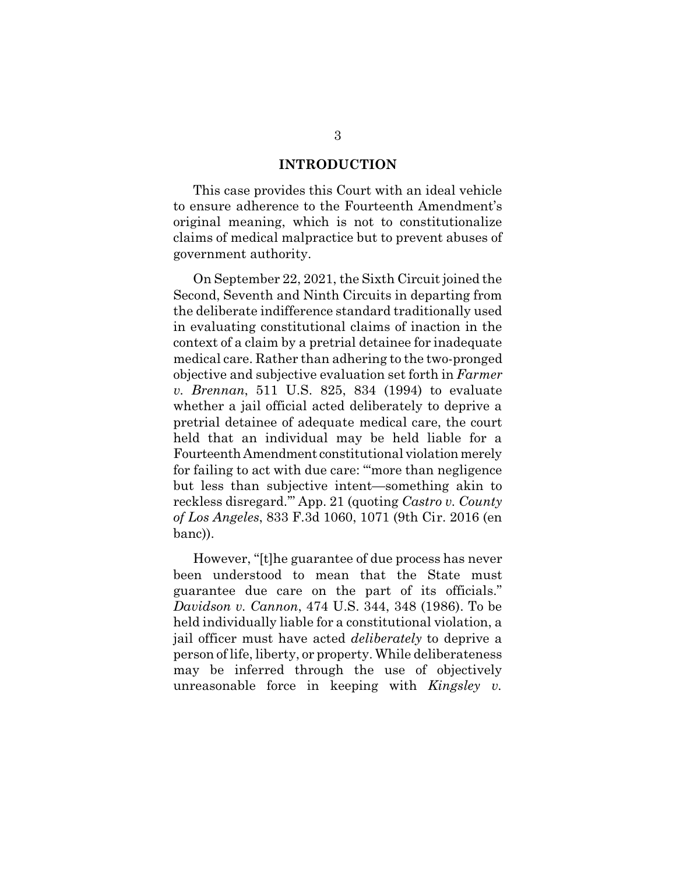#### **INTRODUCTION**

This case provides this Court with an ideal vehicle to ensure adherence to the Fourteenth Amendment's original meaning, which is not to constitutionalize claims of medical malpractice but to prevent abuses of government authority.

On September 22, 2021, the Sixth Circuit joined the Second, Seventh and Ninth Circuits in departing from the deliberate indifference standard traditionally used in evaluating constitutional claims of inaction in the context of a claim by a pretrial detainee for inadequate medical care. Rather than adhering to the two-pronged objective and subjective evaluation set forth in *Farmer v. Brennan*, 511 U.S. 825, 834 (1994) to evaluate whether a jail official acted deliberately to deprive a pretrial detainee of adequate medical care, the court held that an individual may be held liable for a Fourteenth Amendment constitutional violation merely for failing to act with due care: "'more than negligence but less than subjective intent—something akin to reckless disregard.'" App. 21 (quoting *Castro v. County of Los Angeles*, 833 F.3d 1060, 1071 (9th Cir. 2016 (en banc)).

However, "[t]he guarantee of due process has never been understood to mean that the State must guarantee due care on the part of its officials." *Davidson v. Cannon*, 474 U.S. 344, 348 (1986). To be held individually liable for a constitutional violation, a jail officer must have acted *deliberately* to deprive a person of life, liberty, or property. While deliberateness may be inferred through the use of objectively unreasonable force in keeping with *Kingsley v.*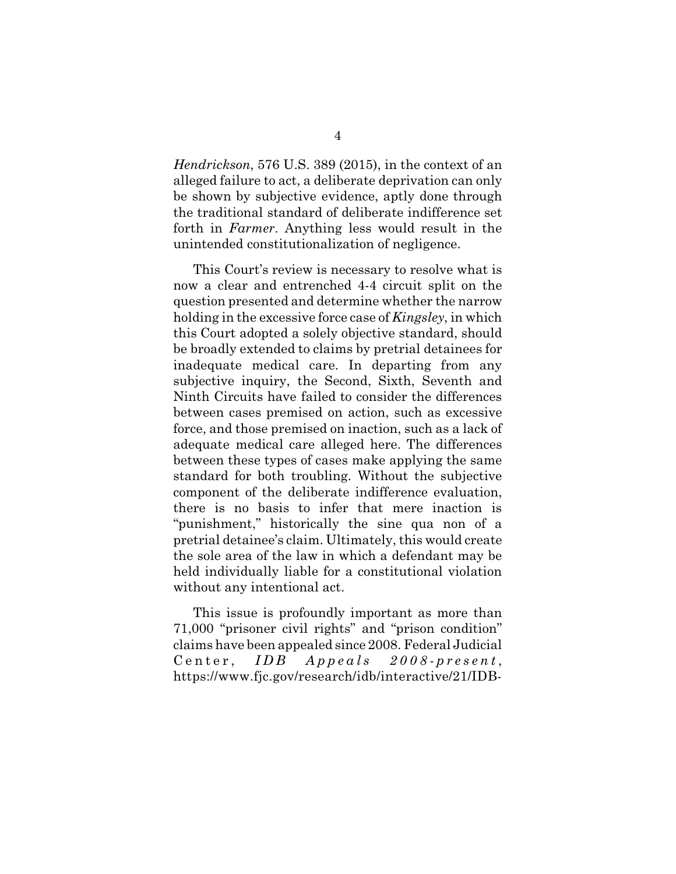*Hendrickson*, 576 U.S. 389 (2015), in the context of an alleged failure to act, a deliberate deprivation can only be shown by subjective evidence, aptly done through the traditional standard of deliberate indifference set forth in *Farmer*. Anything less would result in the unintended constitutionalization of negligence.

This Court's review is necessary to resolve what is now a clear and entrenched 4-4 circuit split on the question presented and determine whether the narrow holding in the excessive force case of *Kingsley*, in which this Court adopted a solely objective standard, should be broadly extended to claims by pretrial detainees for inadequate medical care. In departing from any subjective inquiry, the Second, Sixth, Seventh and Ninth Circuits have failed to consider the differences between cases premised on action, such as excessive force, and those premised on inaction, such as a lack of adequate medical care alleged here. The differences between these types of cases make applying the same standard for both troubling. Without the subjective component of the deliberate indifference evaluation, there is no basis to infer that mere inaction is "punishment," historically the sine qua non of a pretrial detainee's claim. Ultimately, this would create the sole area of the law in which a defendant may be held individually liable for a constitutional violation without any intentional act.

This issue is profoundly important as more than 71,000 "prisoner civil rights" and "prison condition" claims have been appealed since 2008. Federal Judicial Center, *IDB* Appeals 2008-present, https://www.fjc.gov/research/idb/interactive/21/IDB-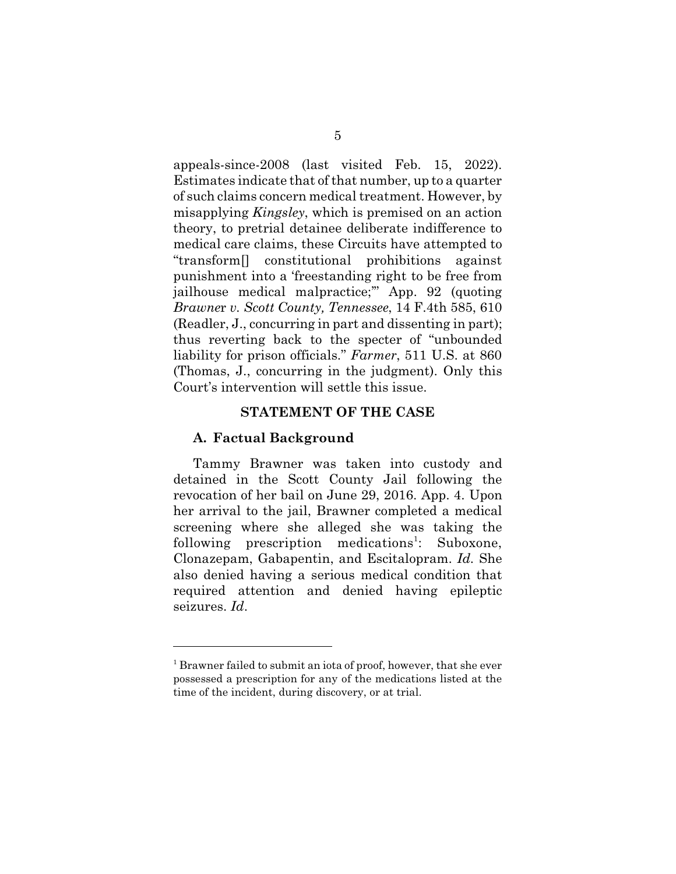appeals-since-2008 (last visited Feb. 15, 2022). Estimates indicate that of that number, up to a quarter of such claims concern medical treatment. However, by misapplying *Kingsley*, which is premised on an action theory, to pretrial detainee deliberate indifference to medical care claims, these Circuits have attempted to "transform[] constitutional prohibitions against punishment into a 'freestanding right to be free from jailhouse medical malpractice;'" App. 92 (quoting *Brawne*r *v. Scott County, Tennessee*, 14 F.4th 585, 610 (Readler, J., concurring in part and dissenting in part); thus reverting back to the specter of "unbounded liability for prison officials." *Farmer*, 511 U.S. at 860 (Thomas, J., concurring in the judgment). Only this Court's intervention will settle this issue.

#### **STATEMENT OF THE CASE**

#### **A. Factual Background**

Tammy Brawner was taken into custody and detained in the Scott County Jail following the revocation of her bail on June 29, 2016. App. 4. Upon her arrival to the jail, Brawner completed a medical screening where she alleged she was taking the following prescription medications<sup>1</sup>: Suboxone, Clonazepam, Gabapentin, and Escitalopram. *Id.* She also denied having a serious medical condition that required attention and denied having epileptic seizures. *Id*.

<sup>&</sup>lt;sup>1</sup> Brawner failed to submit an iota of proof, however, that she ever possessed a prescription for any of the medications listed at the time of the incident, during discovery, or at trial.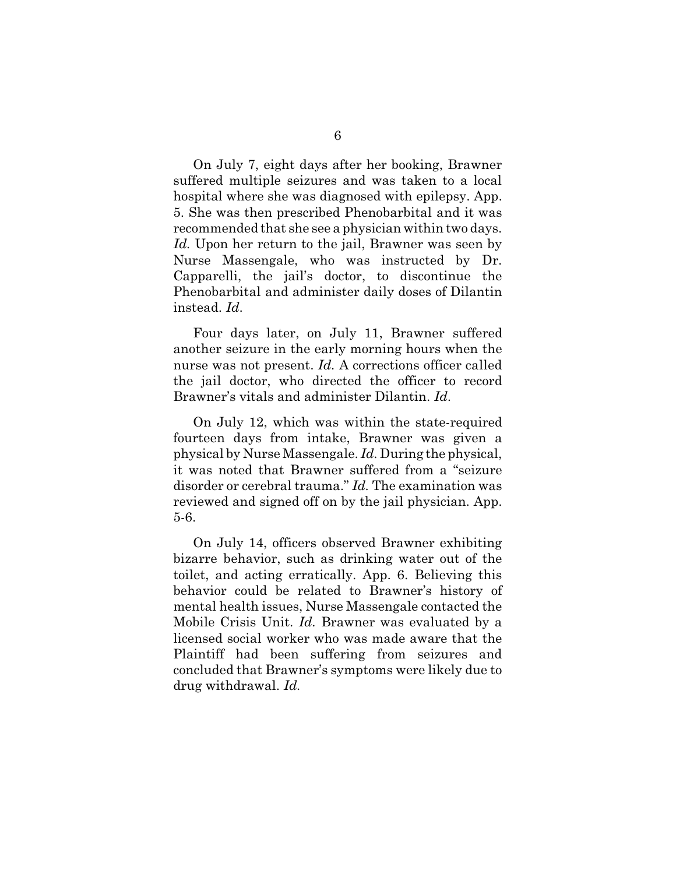On July 7, eight days after her booking, Brawner suffered multiple seizures and was taken to a local hospital where she was diagnosed with epilepsy. App. 5. She was then prescribed Phenobarbital and it was recommended that she see a physician within two days. Id. Upon her return to the jail, Brawner was seen by Nurse Massengale, who was instructed by Dr. Capparelli, the jail's doctor, to discontinue the Phenobarbital and administer daily doses of Dilantin instead. *Id*.

Four days later, on July 11, Brawner suffered another seizure in the early morning hours when the nurse was not present. *Id.* A corrections officer called the jail doctor, who directed the officer to record Brawner's vitals and administer Dilantin. *Id*.

On July 12, which was within the state-required fourteen days from intake, Brawner was given a physical by Nurse Massengale. *Id.* During the physical, it was noted that Brawner suffered from a "seizure disorder or cerebral trauma." *Id.* The examination was reviewed and signed off on by the jail physician. App. 5-6.

On July 14, officers observed Brawner exhibiting bizarre behavior, such as drinking water out of the toilet, and acting erratically. App. 6. Believing this behavior could be related to Brawner's history of mental health issues, Nurse Massengale contacted the Mobile Crisis Unit. *Id.* Brawner was evaluated by a licensed social worker who was made aware that the Plaintiff had been suffering from seizures and concluded that Brawner's symptoms were likely due to drug withdrawal. *Id.*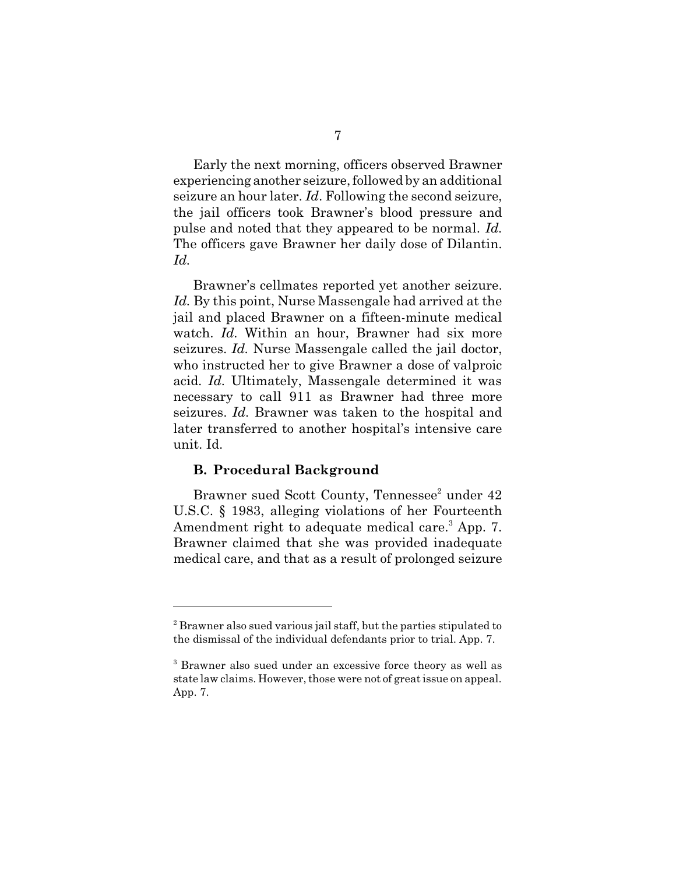Early the next morning, officers observed Brawner experiencing another seizure, followed by an additional seizure an hour later. *Id*. Following the second seizure, the jail officers took Brawner's blood pressure and pulse and noted that they appeared to be normal. *Id.* The officers gave Brawner her daily dose of Dilantin. *Id.*

Brawner's cellmates reported yet another seizure. Id. By this point, Nurse Massengale had arrived at the jail and placed Brawner on a fifteen-minute medical watch. *Id.* Within an hour, Brawner had six more seizures. *Id.* Nurse Massengale called the jail doctor, who instructed her to give Brawner a dose of valproic acid. *Id.* Ultimately, Massengale determined it was necessary to call 911 as Brawner had three more seizures. *Id.* Brawner was taken to the hospital and later transferred to another hospital's intensive care unit. Id.

### **B. Procedural Background**

Brawner sued Scott County, Tennessee<sup>2</sup> under 42 U.S.C. § 1983, alleging violations of her Fourteenth Amendment right to adequate medical care.<sup>3</sup> App. 7. Brawner claimed that she was provided inadequate medical care, and that as a result of prolonged seizure

<sup>&</sup>lt;sup>2</sup> Brawner also sued various jail staff, but the parties stipulated to the dismissal of the individual defendants prior to trial. App. 7.

<sup>&</sup>lt;sup>3</sup> Brawner also sued under an excessive force theory as well as state law claims. However, those were not of great issue on appeal. App. 7.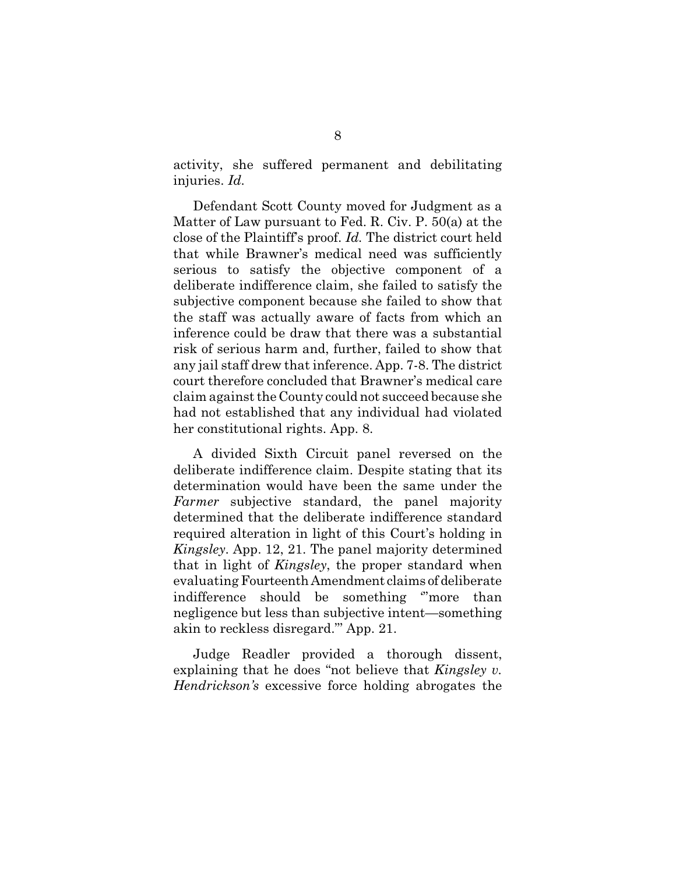activity, she suffered permanent and debilitating injuries. *Id.*

Defendant Scott County moved for Judgment as a Matter of Law pursuant to Fed. R. Civ. P. 50(a) at the close of the Plaintiff's proof. *Id.* The district court held that while Brawner's medical need was sufficiently serious to satisfy the objective component of a deliberate indifference claim, she failed to satisfy the subjective component because she failed to show that the staff was actually aware of facts from which an inference could be draw that there was a substantial risk of serious harm and, further, failed to show that any jail staff drew that inference. App. 7-8. The district court therefore concluded that Brawner's medical care claim against the County could not succeed because she had not established that any individual had violated her constitutional rights. App. 8.

A divided Sixth Circuit panel reversed on the deliberate indifference claim. Despite stating that its determination would have been the same under the *Farmer* subjective standard, the panel majority determined that the deliberate indifference standard required alteration in light of this Court's holding in *Kingsley*. App. 12, 21. The panel majority determined that in light of *Kingsley*, the proper standard when evaluating Fourteenth Amendment claims of deliberate indifference should be something '"more than negligence but less than subjective intent—something akin to reckless disregard."' App. 21.

Judge Readler provided a thorough dissent, explaining that he does "not believe that *Kingsley v. Hendrickson's* excessive force holding abrogates the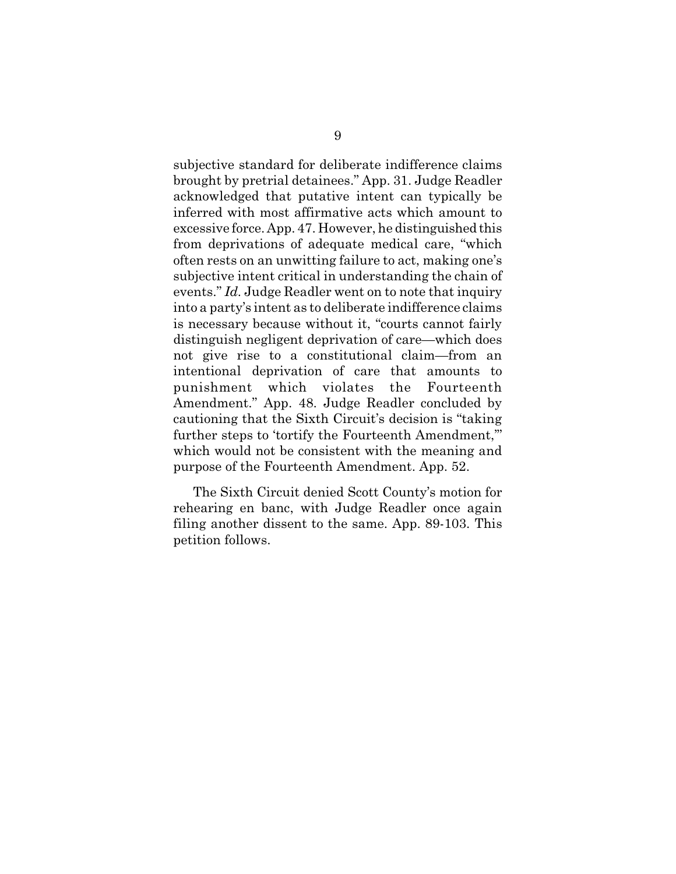subjective standard for deliberate indifference claims brought by pretrial detainees." App. 31. Judge Readler acknowledged that putative intent can typically be inferred with most affirmative acts which amount to excessive force. App. 47. However, he distinguished this from deprivations of adequate medical care, "which often rests on an unwitting failure to act, making one's subjective intent critical in understanding the chain of events." *Id.* Judge Readler went on to note that inquiry into a party's intent as to deliberate indifference claims is necessary because without it, "courts cannot fairly distinguish negligent deprivation of care—which does not give rise to a constitutional claim—from an intentional deprivation of care that amounts to punishment which violates the Fourteenth Amendment." App. 48. Judge Readler concluded by cautioning that the Sixth Circuit's decision is "taking further steps to 'tortify the Fourteenth Amendment,'" which would not be consistent with the meaning and purpose of the Fourteenth Amendment. App. 52.

The Sixth Circuit denied Scott County's motion for rehearing en banc, with Judge Readler once again filing another dissent to the same. App. 89-103. This petition follows.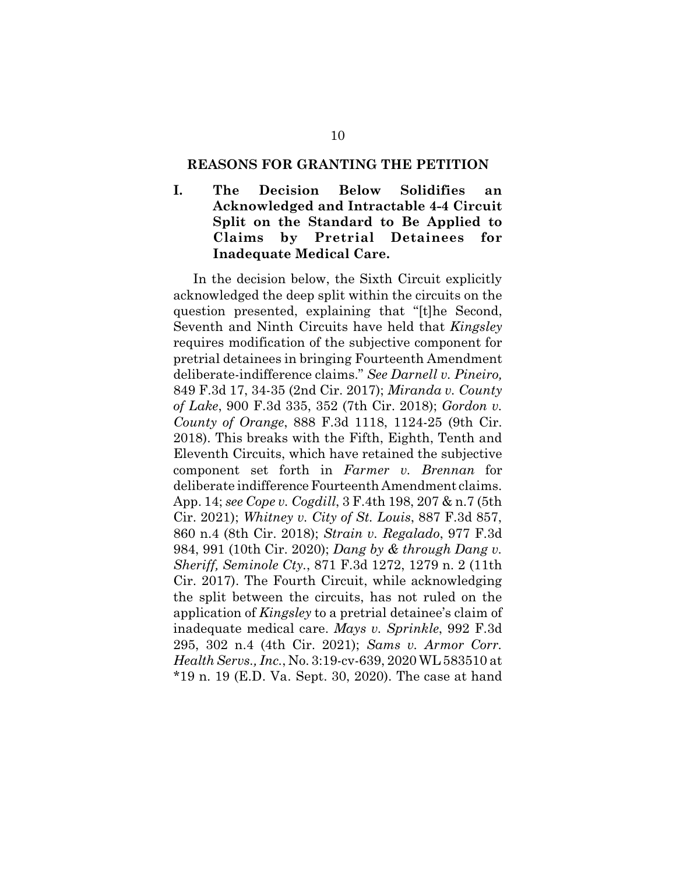#### **REASONS FOR GRANTING THE PETITION**

**I. The Decision Below Solidifies an Acknowledged and Intractable 4-4 Circuit Split on the Standard to Be Applied to Claims by Pretrial Detainees for Inadequate Medical Care.**

In the decision below, the Sixth Circuit explicitly acknowledged the deep split within the circuits on the question presented, explaining that "[t]he Second, Seventh and Ninth Circuits have held that *Kingsley* requires modification of the subjective component for pretrial detainees in bringing Fourteenth Amendment deliberate-indifference claims." *See Darnell v. Pineiro,* 849 F.3d 17, 34-35 (2nd Cir. 2017); *Miranda v. County of Lake*, 900 F.3d 335, 352 (7th Cir. 2018); *Gordon v. County of Orange*, 888 F.3d 1118, 1124-25 (9th Cir. 2018). This breaks with the Fifth, Eighth, Tenth and Eleventh Circuits, which have retained the subjective component set forth in *Farmer v. Brennan* for deliberate indifference Fourteenth Amendment claims. App. 14; *see Cope v. Cogdill*, 3 F.4th 198, 207 & n.7 (5th Cir. 2021); *Whitney v. City of St. Louis*, 887 F.3d 857, 860 n.4 (8th Cir. 2018); *Strain v. Regalado*, 977 F.3d 984, 991 (10th Cir. 2020); *Dang by & through Dang v. Sheriff, Seminole Cty.*, 871 F.3d 1272, 1279 n. 2 (11th Cir. 2017). The Fourth Circuit, while acknowledging the split between the circuits, has not ruled on the application of *Kingsley* to a pretrial detainee's claim of inadequate medical care. *Mays v. Sprinkle*, 992 F.3d 295, 302 n.4 (4th Cir. 2021); *Sams v. Armor Corr. Health Servs., Inc.*, No. 3:19-cv-639, 2020 WL 583510 at \*19 n. 19 (E.D. Va. Sept. 30, 2020). The case at hand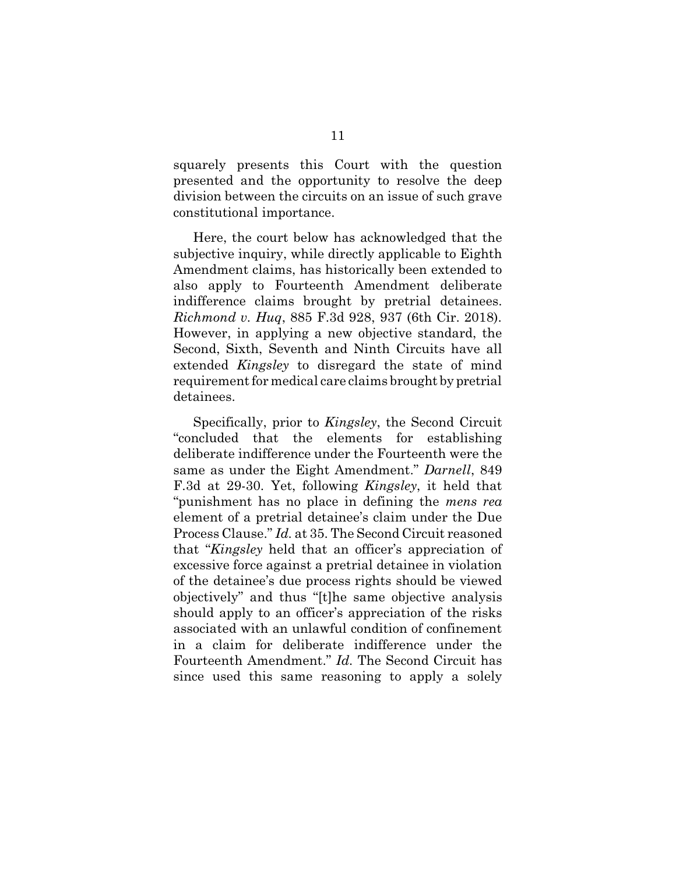squarely presents this Court with the question presented and the opportunity to resolve the deep division between the circuits on an issue of such grave constitutional importance.

Here, the court below has acknowledged that the subjective inquiry, while directly applicable to Eighth Amendment claims, has historically been extended to also apply to Fourteenth Amendment deliberate indifference claims brought by pretrial detainees. *Richmond v. Huq*, 885 F.3d 928, 937 (6th Cir. 2018). However, in applying a new objective standard, the Second, Sixth, Seventh and Ninth Circuits have all extended *Kingsley* to disregard the state of mind requirement for medical care claims brought by pretrial detainees.

Specifically, prior to *Kingsley*, the Second Circuit "concluded that the elements for establishing deliberate indifference under the Fourteenth were the same as under the Eight Amendment." *Darnell*, 849 F.3d at 29-30. Yet, following *Kingsley*, it held that "punishment has no place in defining the *mens rea* element of a pretrial detainee's claim under the Due Process Clause." *Id.* at 35. The Second Circuit reasoned that "*Kingsley* held that an officer's appreciation of excessive force against a pretrial detainee in violation of the detainee's due process rights should be viewed objectively" and thus "[t]he same objective analysis should apply to an officer's appreciation of the risks associated with an unlawful condition of confinement in a claim for deliberate indifference under the Fourteenth Amendment." *Id.* The Second Circuit has since used this same reasoning to apply a solely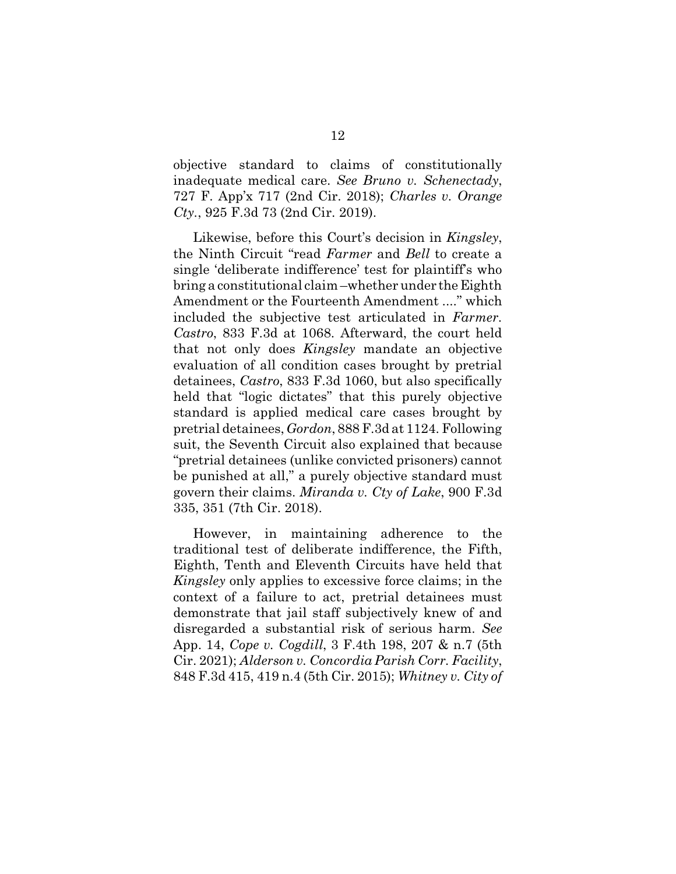objective standard to claims of constitutionally inadequate medical care. *See Bruno v. Schenectady*, 727 F. App'x 717 (2nd Cir. 2018); *Charles v. Orange Cty.*, 925 F.3d 73 (2nd Cir. 2019).

Likewise, before this Court's decision in *Kingsley*, the Ninth Circuit "read *Farmer* and *Bell* to create a single 'deliberate indifference' test for plaintiff's who bring a constitutional claim –whether under the Eighth Amendment or the Fourteenth Amendment ...." which included the subjective test articulated in *Farmer*. *Castro*, 833 F.3d at 1068. Afterward, the court held that not only does *Kingsley* mandate an objective evaluation of all condition cases brought by pretrial detainees, *Castro*, 833 F.3d 1060, but also specifically held that "logic dictates" that this purely objective standard is applied medical care cases brought by pretrial detainees, *Gordon*, 888 F.3d at 1124. Following suit, the Seventh Circuit also explained that because "pretrial detainees (unlike convicted prisoners) cannot be punished at all," a purely objective standard must govern their claims. *Miranda v. Cty of Lake*, 900 F.3d 335, 351 (7th Cir. 2018).

However, in maintaining adherence to the traditional test of deliberate indifference, the Fifth, Eighth, Tenth and Eleventh Circuits have held that *Kingsley* only applies to excessive force claims; in the context of a failure to act, pretrial detainees must demonstrate that jail staff subjectively knew of and disregarded a substantial risk of serious harm. *See* App. 14, *Cope v. Cogdill*, 3 F.4th 198, 207 & n.7 (5th Cir. 2021); *Alderson v. Concordia Parish Corr. Facility*, 848 F.3d 415, 419 n.4 (5th Cir. 2015); *Whitney v. City of*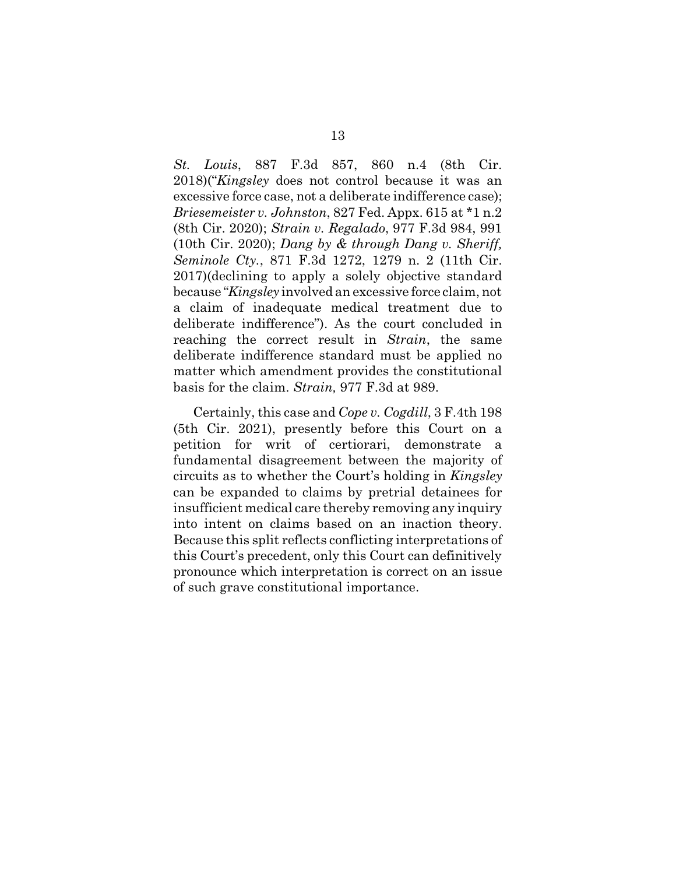*St. Louis*, 887 F.3d 857, 860 n.4 (8th Cir. 2018)("*Kingsley* does not control because it was an excessive force case, not a deliberate indifference case); *Briesemeister v. Johnston*, 827 Fed. Appx. 615 at \*1 n.2 (8th Cir. 2020); *Strain v. Regalado*, 977 F.3d 984, 991 (10th Cir. 2020); *Dang by & through Dang v. Sheriff, Seminole Cty.*, 871 F.3d 1272, 1279 n. 2 (11th Cir. 2017)(declining to apply a solely objective standard because "*Kingsley* involved an excessive force claim, not a claim of inadequate medical treatment due to deliberate indifference"). As the court concluded in reaching the correct result in *Strain*, the same deliberate indifference standard must be applied no matter which amendment provides the constitutional basis for the claim. *Strain,* 977 F.3d at 989.

Certainly, this case and *Cope v. Cogdill*, 3 F.4th 198 (5th Cir. 2021), presently before this Court on a petition for writ of certiorari, demonstrate a fundamental disagreement between the majority of circuits as to whether the Court's holding in *Kingsley* can be expanded to claims by pretrial detainees for insufficient medical care thereby removing any inquiry into intent on claims based on an inaction theory. Because this split reflects conflicting interpretations of this Court's precedent, only this Court can definitively pronounce which interpretation is correct on an issue of such grave constitutional importance.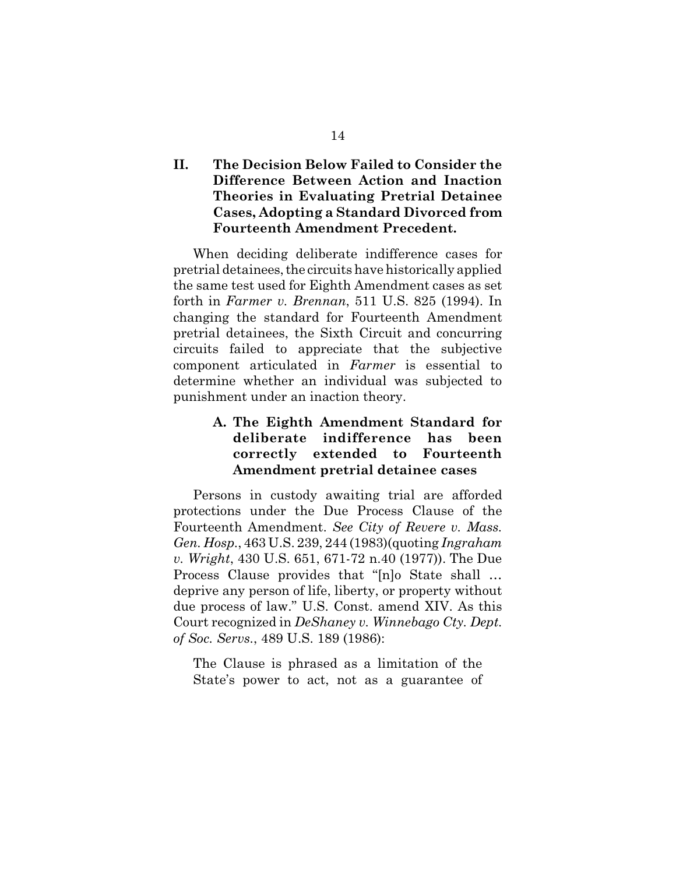# **II. The Decision Below Failed to Consider the Difference Between Action and Inaction Theories in Evaluating Pretrial Detainee Cases, Adopting a Standard Divorced from Fourteenth Amendment Precedent.**

When deciding deliberate indifference cases for pretrial detainees, the circuits have historically applied the same test used for Eighth Amendment cases as set forth in *Farmer v. Brennan*, 511 U.S. 825 (1994). In changing the standard for Fourteenth Amendment pretrial detainees, the Sixth Circuit and concurring circuits failed to appreciate that the subjective component articulated in *Farmer* is essential to determine whether an individual was subjected to punishment under an inaction theory.

# **A. The Eighth Amendment Standard for deliberate indifference has been correctly extended to Fourteenth Amendment pretrial detainee cases**

Persons in custody awaiting trial are afforded protections under the Due Process Clause of the Fourteenth Amendment. *See City of Revere v. Mass. Gen. Hosp.*, 463 U.S. 239, 244 (1983)(quoting *Ingraham v. Wright*, 430 U.S. 651, 671-72 n.40 (1977)). The Due Process Clause provides that "[n]o State shall … deprive any person of life, liberty, or property without due process of law." U.S. Const. amend XIV. As this Court recognized in *DeShaney v. Winnebago Cty. Dept. of Soc. Servs.*, 489 U.S. 189 (1986):

The Clause is phrased as a limitation of the State's power to act, not as a guarantee of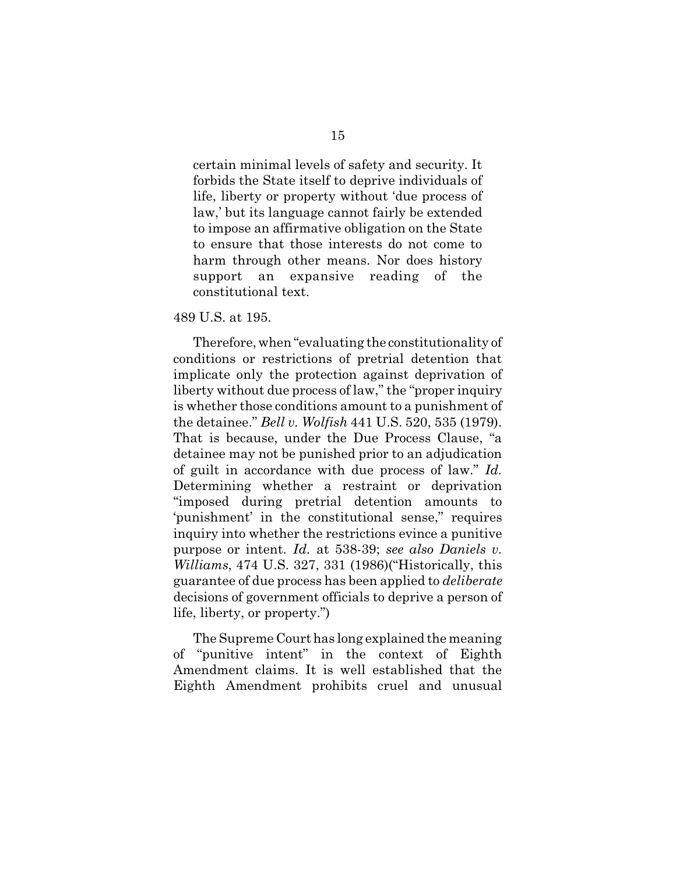certain minimal levels of safety and security. It forbids the State itself to deprive individuals of life, liberty or property without 'due process of law,' but its language cannot fairly be extended to impose an affirmative obligation on the State to ensure that those interests do not come to harm through other means. Nor does history support an expansive reading of the constitutional text.

### 489 U.S. at 195.

Therefore, when "evaluating the constitutionality of conditions or restrictions of pretrial detention that implicate only the protection against deprivation of liberty without due process of law," the "proper inquiry is whether those conditions amount to a punishment of the detainee." *Bell v. Wolfish* 441 U.S. 520, 535 (1979). That is because, under the Due Process Clause, "a detainee may not be punished prior to an adjudication of guilt in accordance with due process of law." *Id.* Determining whether a restraint or deprivation "imposed during pretrial detention amounts to 'punishment' in the constitutional sense," requires inquiry into whether the restrictions evince a punitive purpose or intent. *Id.* at 538-39; *see also Daniels v. Williams*, 474 U.S. 327, 331 (1986)("Historically, this guarantee of due process has been applied to *deliberate* decisions of government officials to deprive a person of life, liberty, or property.")

The Supreme Court has long explained the meaning of "punitive intent" in the context of Eighth Amendment claims. It is well established that the Eighth Amendment prohibits cruel and unusual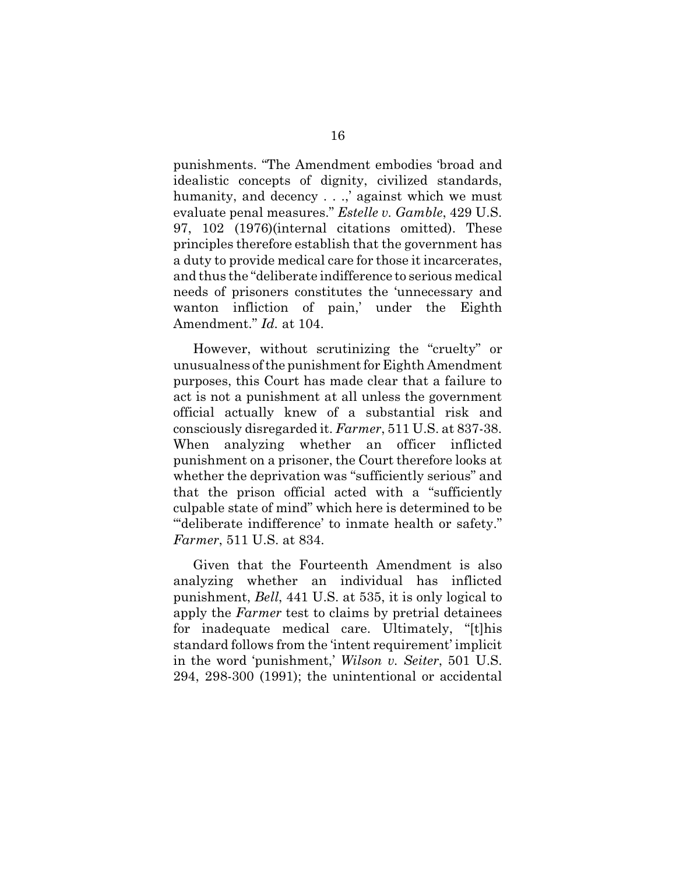punishments. "The Amendment embodies 'broad and idealistic concepts of dignity, civilized standards, humanity, and decency . . .,' against which we must evaluate penal measures." *Estelle v. Gamble*, 429 U.S. 97, 102 (1976)(internal citations omitted). These principles therefore establish that the government has a duty to provide medical care for those it incarcerates, and thus the "deliberate indifference to serious medical needs of prisoners constitutes the 'unnecessary and wanton infliction of pain,' under the Eighth Amendment." *Id.* at 104.

However, without scrutinizing the "cruelty" or unusualness of the punishment for Eighth Amendment purposes, this Court has made clear that a failure to act is not a punishment at all unless the government official actually knew of a substantial risk and consciously disregarded it. *Farmer*, 511 U.S. at 837-38. When analyzing whether an officer inflicted punishment on a prisoner, the Court therefore looks at whether the deprivation was "sufficiently serious" and that the prison official acted with a "sufficiently culpable state of mind" which here is determined to be "'deliberate indifference' to inmate health or safety." *Farmer*, 511 U.S. at 834.

Given that the Fourteenth Amendment is also analyzing whether an individual has inflicted punishment, *Bell*, 441 U.S. at 535, it is only logical to apply the *Farmer* test to claims by pretrial detainees for inadequate medical care. Ultimately, "[t]his standard follows from the 'intent requirement' implicit in the word 'punishment,' *Wilson v. Seiter*, 501 U.S. 294, 298-300 (1991); the unintentional or accidental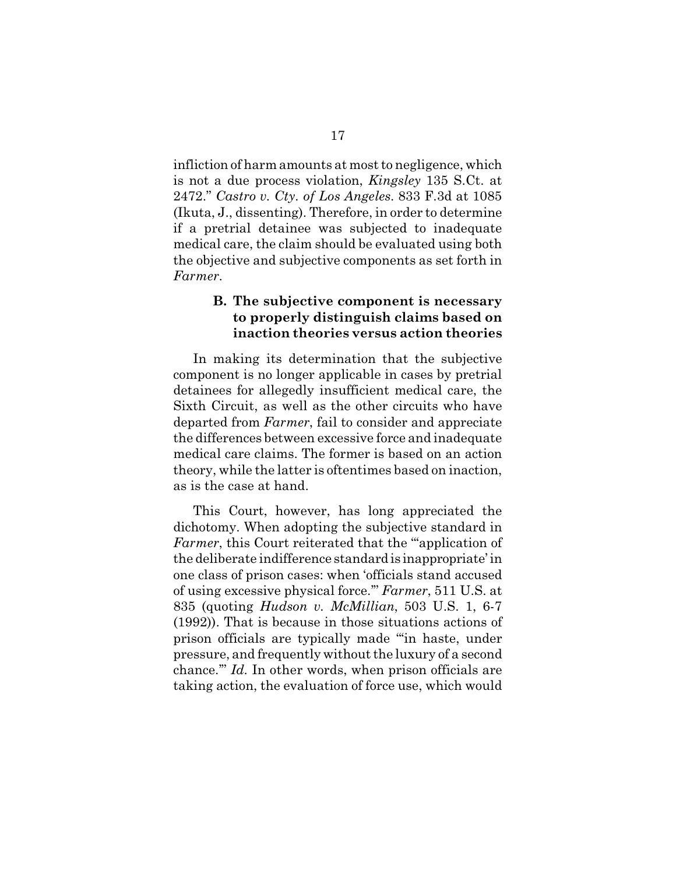infliction of harm amounts at most to negligence, which is not a due process violation, *Kingsley* 135 S.Ct. at 2472." *Castro v. Cty. of Los Angeles*. 833 F.3d at 1085 (Ikuta, J., dissenting). Therefore, in order to determine if a pretrial detainee was subjected to inadequate medical care, the claim should be evaluated using both the objective and subjective components as set forth in *Farmer*.

## **B. The subjective component is necessary to properly distinguish claims based on inaction theories versus action theories**

In making its determination that the subjective component is no longer applicable in cases by pretrial detainees for allegedly insufficient medical care, the Sixth Circuit, as well as the other circuits who have departed from *Farmer*, fail to consider and appreciate the differences between excessive force and inadequate medical care claims. The former is based on an action theory, while the latter is oftentimes based on inaction, as is the case at hand.

This Court, however, has long appreciated the dichotomy. When adopting the subjective standard in *Farmer*, this Court reiterated that the "'application of the deliberate indifference standard is inappropriate' in one class of prison cases: when 'officials stand accused of using excessive physical force.'" *Farmer*, 511 U.S. at 835 (quoting *Hudson v. McMillian*, 503 U.S. 1, 6-7 (1992)). That is because in those situations actions of prison officials are typically made "'in haste, under pressure, and frequently without the luxury of a second chance.'" *Id.* In other words, when prison officials are taking action, the evaluation of force use, which would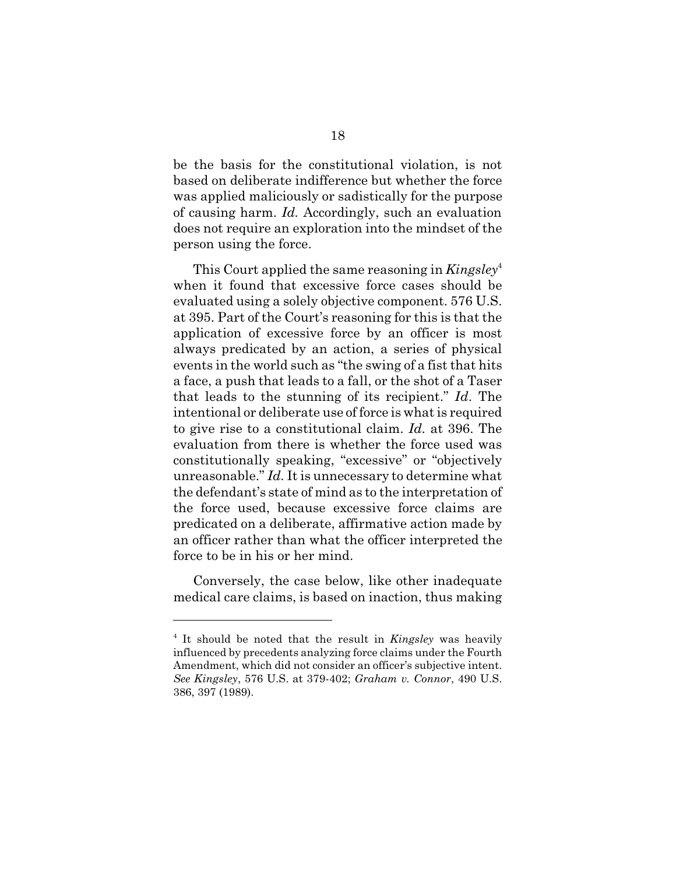be the basis for the constitutional violation, is not based on deliberate indifference but whether the force was applied maliciously or sadistically for the purpose of causing harm. *Id.* Accordingly, such an evaluation does not require an exploration into the mindset of the person using the force.

This Court applied the same reasoning in *Kingsley*<sup>4</sup> when it found that excessive force cases should be evaluated using a solely objective component. 576 U.S. at 395. Part of the Court's reasoning for this is that the application of excessive force by an officer is most always predicated by an action, a series of physical events in the world such as "the swing of a fist that hits a face, a push that leads to a fall, or the shot of a Taser that leads to the stunning of its recipient." *Id*. The intentional or deliberate use of force is what is required to give rise to a constitutional claim. *Id.* at 396. The evaluation from there is whether the force used was constitutionally speaking, "excessive" or "objectively unreasonable." *Id.* It is unnecessary to determine what the defendant's state of mind as to the interpretation of the force used, because excessive force claims are predicated on a deliberate, affirmative action made by an officer rather than what the officer interpreted the force to be in his or her mind.

Conversely, the case below, like other inadequate medical care claims, is based on inaction, thus making

<sup>4</sup> It should be noted that the result in *Kingsley* was heavily influenced by precedents analyzing force claims under the Fourth Amendment, which did not consider an officer's subjective intent. *See Kingsley*, 576 U.S. at 379-402; *Graham v. Connor*, 490 U.S. 386, 397 (1989).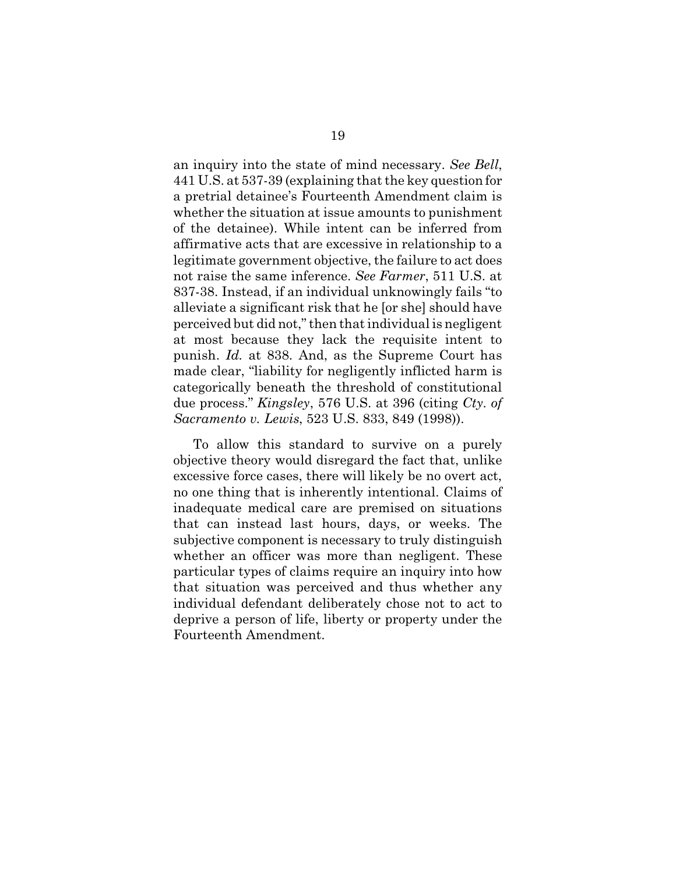an inquiry into the state of mind necessary. *See Bell*, 441 U.S. at 537-39 (explaining that the key question for a pretrial detainee's Fourteenth Amendment claim is whether the situation at issue amounts to punishment of the detainee). While intent can be inferred from affirmative acts that are excessive in relationship to a legitimate government objective, the failure to act does not raise the same inference. *See Farmer*, 511 U.S. at 837-38. Instead, if an individual unknowingly fails "to alleviate a significant risk that he [or she] should have perceived but did not," then that individual is negligent at most because they lack the requisite intent to punish. *Id.* at 838. And, as the Supreme Court has made clear, "liability for negligently inflicted harm is categorically beneath the threshold of constitutional due process." *Kingsley*, 576 U.S. at 396 (citing *Cty. of Sacramento v. Lewis*, 523 U.S. 833, 849 (1998)).

To allow this standard to survive on a purely objective theory would disregard the fact that, unlike excessive force cases, there will likely be no overt act, no one thing that is inherently intentional. Claims of inadequate medical care are premised on situations that can instead last hours, days, or weeks. The subjective component is necessary to truly distinguish whether an officer was more than negligent. These particular types of claims require an inquiry into how that situation was perceived and thus whether any individual defendant deliberately chose not to act to deprive a person of life, liberty or property under the Fourteenth Amendment.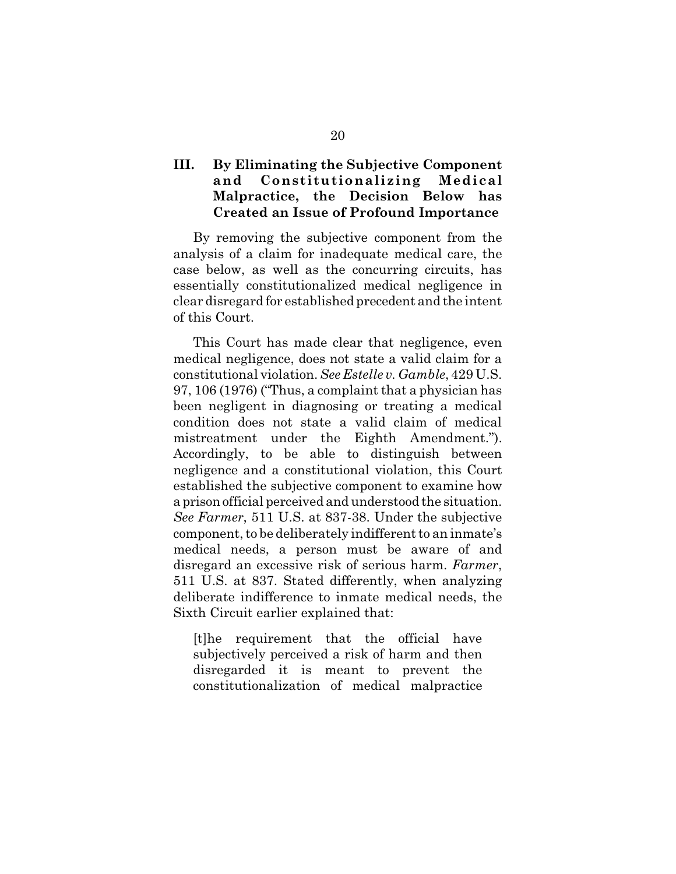# **III. By Eliminating the Subjective Component and Constitutionalizing Medical Malpractice, the Decision Below has Created an Issue of Profound Importance**

By removing the subjective component from the analysis of a claim for inadequate medical care, the case below, as well as the concurring circuits, has essentially constitutionalized medical negligence in clear disregard for established precedent and the intent of this Court.

This Court has made clear that negligence, even medical negligence, does not state a valid claim for a constitutional violation. *See Estelle v. Gamble*, 429 U.S. 97, 106 (1976) ("Thus, a complaint that a physician has been negligent in diagnosing or treating a medical condition does not state a valid claim of medical mistreatment under the Eighth Amendment."). Accordingly, to be able to distinguish between negligence and a constitutional violation, this Court established the subjective component to examine how a prison official perceived and understood the situation. *See Farmer*, 511 U.S. at 837-38. Under the subjective component, to be deliberately indifferent to an inmate's medical needs, a person must be aware of and disregard an excessive risk of serious harm. *Farmer*, 511 U.S. at 837. Stated differently, when analyzing deliberate indifference to inmate medical needs, the Sixth Circuit earlier explained that:

[t]he requirement that the official have subjectively perceived a risk of harm and then disregarded it is meant to prevent the constitutionalization of medical malpractice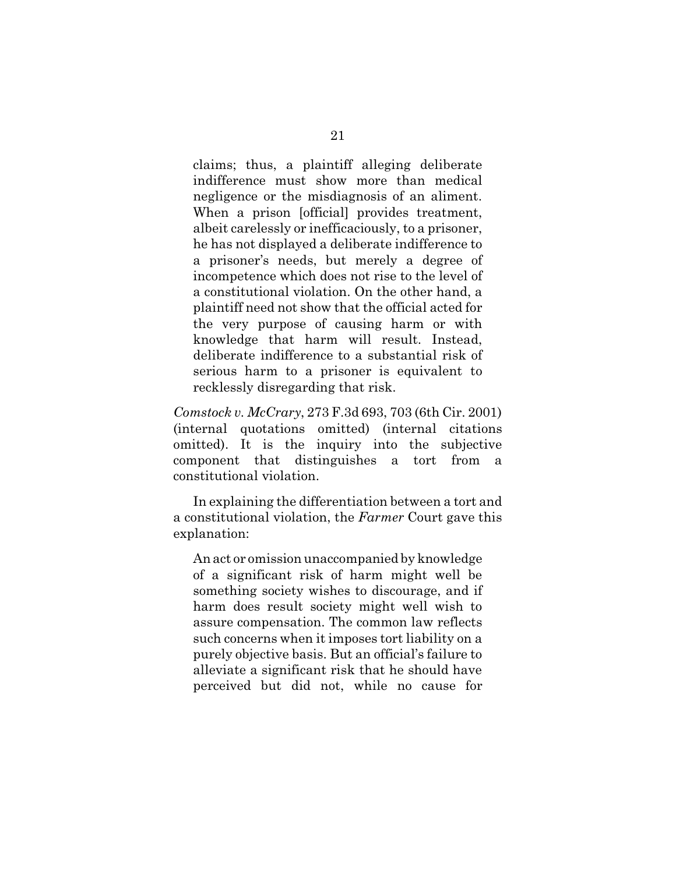claims; thus, a plaintiff alleging deliberate indifference must show more than medical negligence or the misdiagnosis of an aliment. When a prison [official] provides treatment, albeit carelessly or inefficaciously, to a prisoner, he has not displayed a deliberate indifference to a prisoner's needs, but merely a degree of incompetence which does not rise to the level of a constitutional violation. On the other hand, a plaintiff need not show that the official acted for the very purpose of causing harm or with knowledge that harm will result. Instead, deliberate indifference to a substantial risk of serious harm to a prisoner is equivalent to recklessly disregarding that risk.

*Comstock v. McCrary*, 273 F.3d 693, 703 (6th Cir. 2001) (internal quotations omitted) (internal citations omitted). It is the inquiry into the subjective component that distinguishes a tort from a constitutional violation.

In explaining the differentiation between a tort and a constitutional violation, the *Farmer* Court gave this explanation:

An act or omission unaccompanied by knowledge of a significant risk of harm might well be something society wishes to discourage, and if harm does result society might well wish to assure compensation. The common law reflects such concerns when it imposes tort liability on a purely objective basis. But an official's failure to alleviate a significant risk that he should have perceived but did not, while no cause for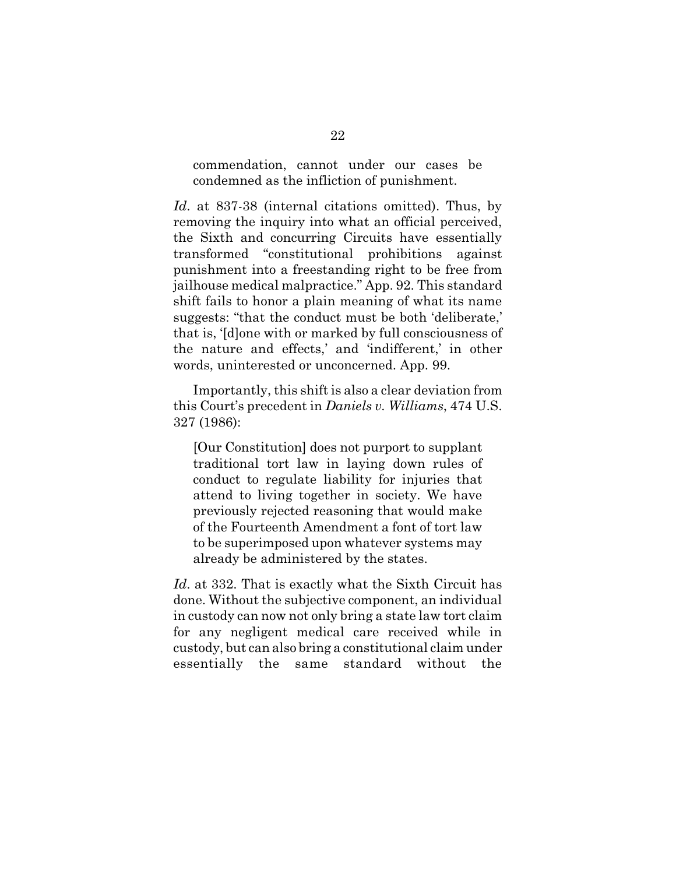commendation, cannot under our cases be condemned as the infliction of punishment.

*Id*. at 837-38 (internal citations omitted). Thus, by removing the inquiry into what an official perceived, the Sixth and concurring Circuits have essentially transformed "constitutional prohibitions against punishment into a freestanding right to be free from jailhouse medical malpractice." App. 92. This standard shift fails to honor a plain meaning of what its name suggests: "that the conduct must be both 'deliberate,' that is, '[d]one with or marked by full consciousness of the nature and effects,' and 'indifferent,' in other words, uninterested or unconcerned. App. 99.

Importantly, this shift is also a clear deviation from this Court's precedent in *Daniels v. Williams*, 474 U.S. 327 (1986):

[Our Constitution] does not purport to supplant traditional tort law in laying down rules of conduct to regulate liability for injuries that attend to living together in society. We have previously rejected reasoning that would make of the Fourteenth Amendment a font of tort law to be superimposed upon whatever systems may already be administered by the states.

*Id*. at 332. That is exactly what the Sixth Circuit has done. Without the subjective component, an individual in custody can now not only bring a state law tort claim for any negligent medical care received while in custody, but can also bring a constitutional claim under essentially the same standard without the